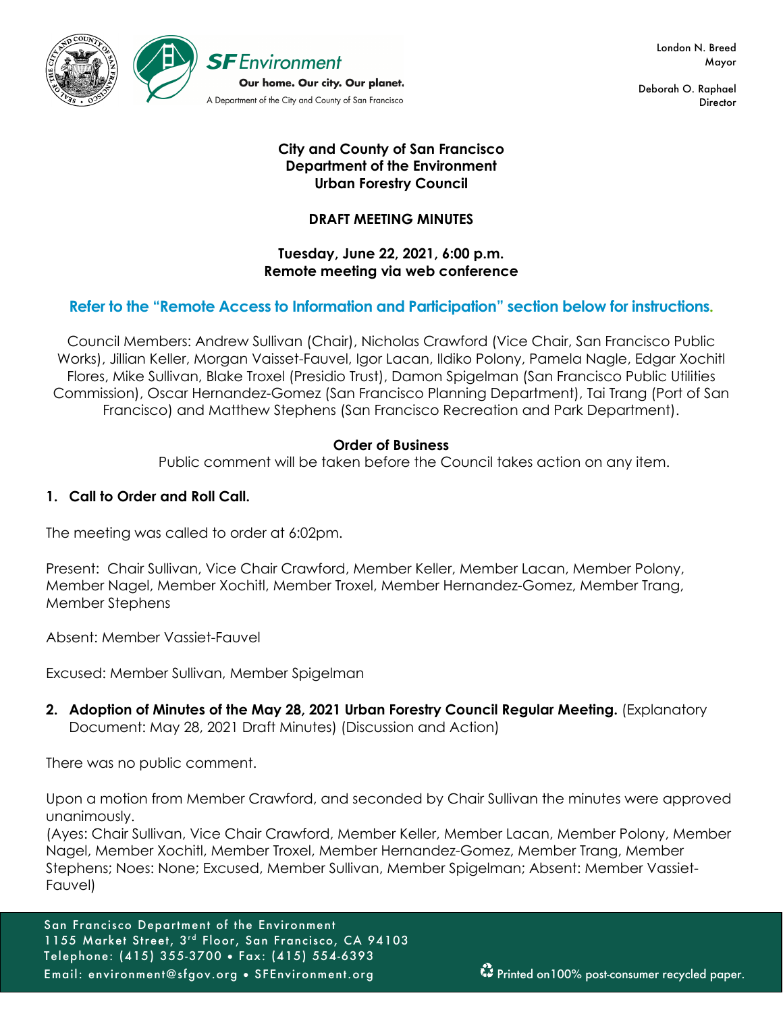

London N. Breed Mayor

Deborah O. Raphael **Director** 

## **City and County of San Francisco Department of the Environment Urban Forestry Council**

# **DRAFT MEETING MINUTES**

## **Tuesday, June 22, 2021, 6:00 p.m. Remote meeting via web conference**

# **Refer to the "Remote Access to Information and Participation" section below for instructions.**

Council Members: Andrew Sullivan (Chair), Nicholas Crawford (Vice Chair, San Francisco Public Works), Jillian Keller, Morgan Vaisset-Fauvel, Igor Lacan, Ildiko Polony, Pamela Nagle, Edgar Xochitl Flores, Mike Sullivan, Blake Troxel (Presidio Trust), Damon Spigelman (San Francisco Public Utilities Commission), Oscar Hernandez-Gomez (San Francisco Planning Department), Tai Trang (Port of San Francisco) and Matthew Stephens (San Francisco Recreation and Park Department).

## **Order of Business**

Public comment will be taken before the Council takes action on any item.

# **1. Call to Order and Roll Call.**

The meeting was called to order at 6:02pm.

Present: Chair Sullivan, Vice Chair Crawford, Member Keller, Member Lacan, Member Polony, Member Nagel, Member Xochitl, Member Troxel, Member Hernandez-Gomez, Member Trang, Member Stephens

Absent: Member Vassiet-Fauvel

Excused: Member Sullivan, Member Spigelman

**2. Adoption of Minutes of the May 28, 2021 Urban Forestry Council Regular Meeting.** (Explanatory Document: May 28, 2021 Draft Minutes) (Discussion and Action)

There was no public comment.

Upon a motion from Member Crawford, and seconded by Chair Sullivan the minutes were approved unanimously.

(Ayes: Chair Sullivan, Vice Chair Crawford, Member Keller, Member Lacan, Member Polony, Member Nagel, Member Xochitl, Member Troxel, Member Hernandez-Gomez, Member Trang, Member Stephens; Noes: None; Excused, Member Sullivan, Member Spigelman; Absent: Member Vassiet-Fauvel)

San Francisco Department of the Environment 1155 Market Street, 3rd Floor, San Francisco, CA 94103 Telephone: (415) 355-3700 • Fax: (415) 554-6393 Email: environment@sfgov.org • SFEnvironment.org Printed on100% post-consumer recycled paper.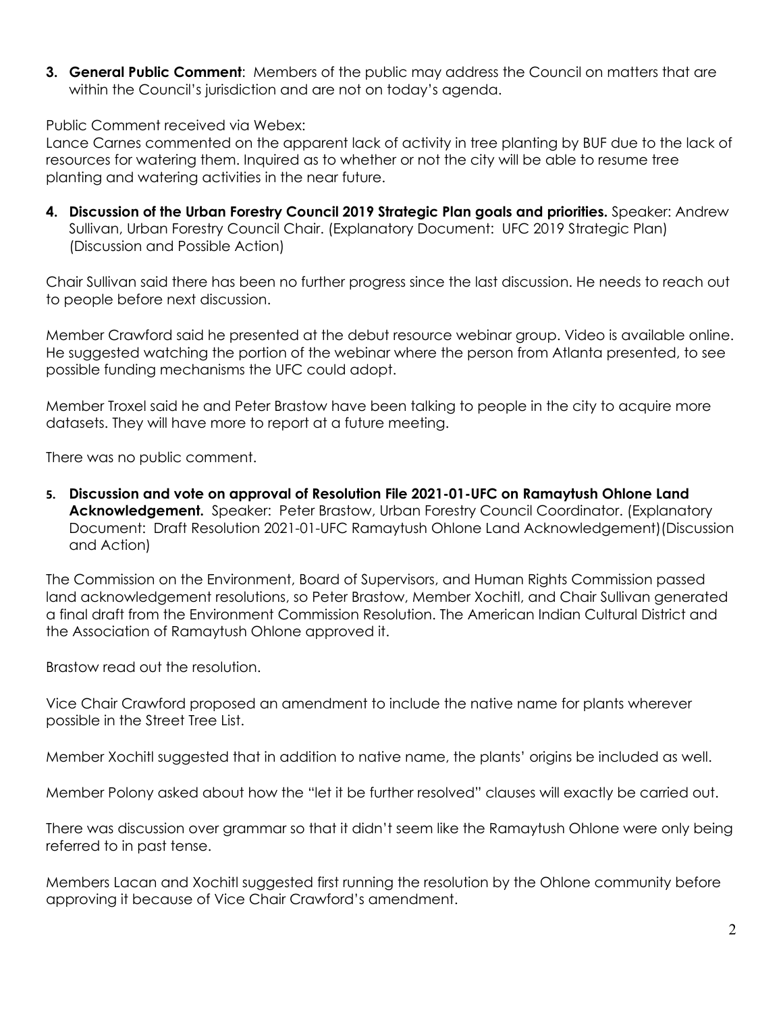**3. General Public Comment**: Members of the public may address the Council on matters that are within the Council's jurisdiction and are not on today's agenda.

Public Comment received via Webex:

Lance Carnes commented on the apparent lack of activity in tree planting by BUF due to the lack of resources for watering them. Inquired as to whether or not the city will be able to resume tree planting and watering activities in the near future.

**4. Discussion of the Urban Forestry Council 2019 Strategic Plan goals and priorities.** Speaker: Andrew Sullivan, Urban Forestry Council Chair. (Explanatory Document: UFC 2019 Strategic Plan) (Discussion and Possible Action)

Chair Sullivan said there has been no further progress since the last discussion. He needs to reach out to people before next discussion.

Member Crawford said he presented at the debut resource webinar group. Video is available online. He suggested watching the portion of the webinar where the person from Atlanta presented, to see possible funding mechanisms the UFC could adopt.

Member Troxel said he and Peter Brastow have been talking to people in the city to acquire more datasets. They will have more to report at a future meeting.

There was no public comment.

**5. Discussion and vote on approval of Resolution File 2021-01-UFC on Ramaytush Ohlone Land Acknowledgement.** Speaker: Peter Brastow, Urban Forestry Council Coordinator. (Explanatory Document: Draft Resolution 2021-01-UFC Ramaytush Ohlone Land Acknowledgement)(Discussion and Action)

The Commission on the Environment, Board of Supervisors, and Human Rights Commission passed land acknowledgement resolutions, so Peter Brastow, Member Xochitl, and Chair Sullivan generated a final draft from the Environment Commission Resolution. The American Indian Cultural District and the Association of Ramaytush Ohlone approved it.

Brastow read out the resolution.

Vice Chair Crawford proposed an amendment to include the native name for plants wherever possible in the Street Tree List.

Member Xochitl suggested that in addition to native name, the plants' origins be included as well.

Member Polony asked about how the "let it be further resolved" clauses will exactly be carried out.

There was discussion over grammar so that it didn't seem like the Ramaytush Ohlone were only being referred to in past tense.

Members Lacan and Xochitl suggested first running the resolution by the Ohlone community before approving it because of Vice Chair Crawford's amendment.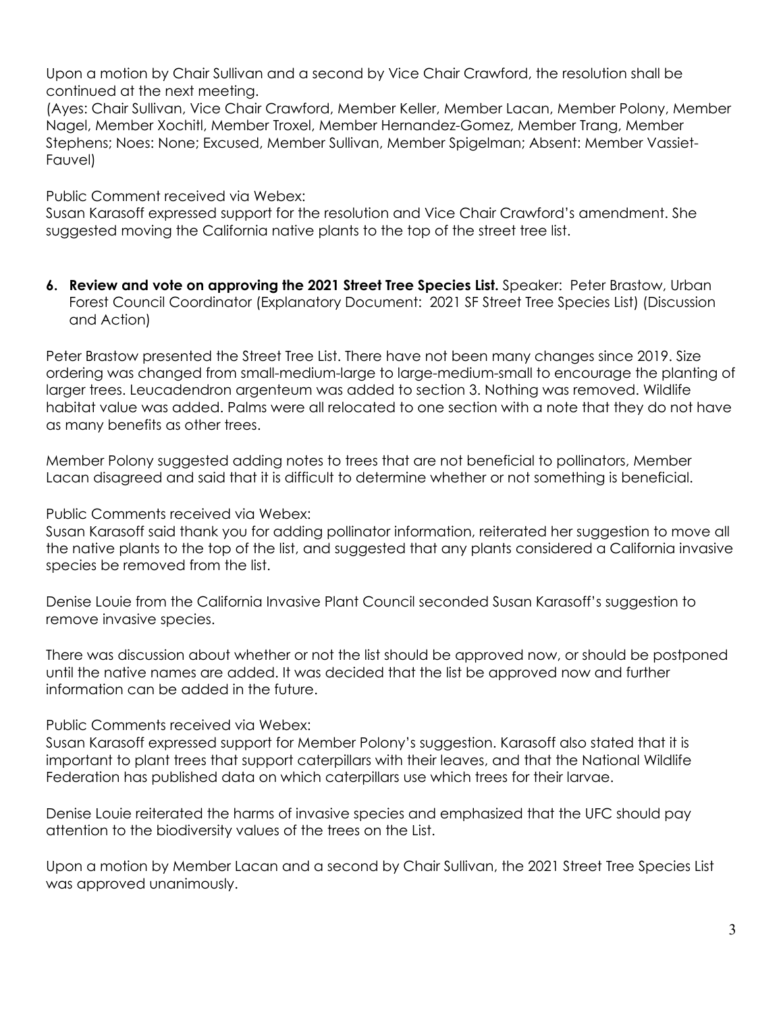Upon a motion by Chair Sullivan and a second by Vice Chair Crawford, the resolution shall be continued at the next meeting.

(Ayes: Chair Sullivan, Vice Chair Crawford, Member Keller, Member Lacan, Member Polony, Member Nagel, Member Xochitl, Member Troxel, Member Hernandez-Gomez, Member Trang, Member Stephens; Noes: None; Excused, Member Sullivan, Member Spigelman; Absent: Member Vassiet-Fauvel)

Public Comment received via Webex:

Susan Karasoff expressed support for the resolution and Vice Chair Crawford's amendment. She suggested moving the California native plants to the top of the street tree list.

**6. Review and vote on approving the 2021 Street Tree Species List.** Speaker: Peter Brastow, Urban Forest Council Coordinator (Explanatory Document: 2021 SF Street Tree Species List) (Discussion and Action)

Peter Brastow presented the Street Tree List. There have not been many changes since 2019. Size ordering was changed from small-medium-large to large-medium-small to encourage the planting of larger trees. Leucadendron argenteum was added to section 3. Nothing was removed. Wildlife habitat value was added. Palms were all relocated to one section with a note that they do not have as many benefits as other trees.

Member Polony suggested adding notes to trees that are not beneficial to pollinators, Member Lacan disagreed and said that it is difficult to determine whether or not something is beneficial.

Public Comments received via Webex:

Susan Karasoff said thank you for adding pollinator information, reiterated her suggestion to move all the native plants to the top of the list, and suggested that any plants considered a California invasive species be removed from the list.

Denise Louie from the California Invasive Plant Council seconded Susan Karasoff's suggestion to remove invasive species.

There was discussion about whether or not the list should be approved now, or should be postponed until the native names are added. It was decided that the list be approved now and further information can be added in the future.

Public Comments received via Webex:

Susan Karasoff expressed support for Member Polony's suggestion. Karasoff also stated that it is important to plant trees that support caterpillars with their leaves, and that the National Wildlife Federation has published data on which caterpillars use which trees for their larvae.

Denise Louie reiterated the harms of invasive species and emphasized that the UFC should pay attention to the biodiversity values of the trees on the List.

Upon a motion by Member Lacan and a second by Chair Sullivan, the 2021 Street Tree Species List was approved unanimously.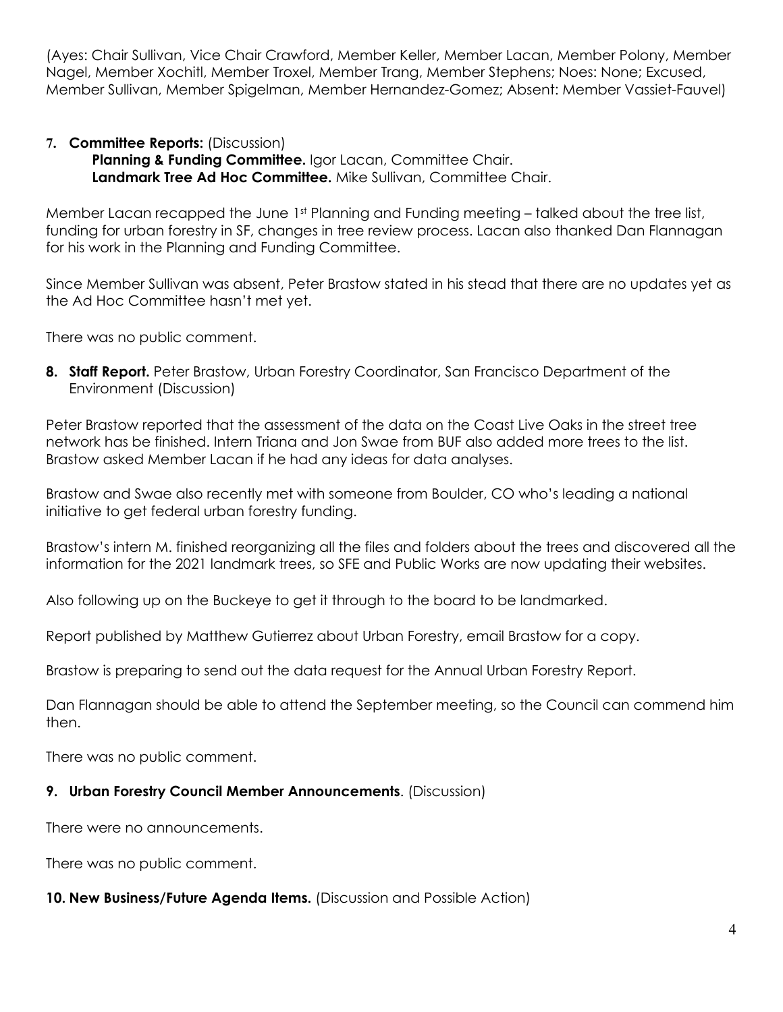(Ayes: Chair Sullivan, Vice Chair Crawford, Member Keller, Member Lacan, Member Polony, Member Nagel, Member Xochitl, Member Troxel, Member Trang, Member Stephens; Noes: None; Excused, Member Sullivan, Member Spigelman, Member Hernandez-Gomez; Absent: Member Vassiet-Fauvel)

## **7. Committee Reports:** (Discussion)

**Planning & Funding Committee.** Igor Lacan, Committee Chair. **Landmark Tree Ad Hoc Committee.** Mike Sullivan, Committee Chair.

Member Lacan recapped the June  $1<sup>st</sup>$  Planning and Funding meeting – talked about the tree list, funding for urban forestry in SF, changes in tree review process. Lacan also thanked Dan Flannagan for his work in the Planning and Funding Committee.

Since Member Sullivan was absent, Peter Brastow stated in his stead that there are no updates yet as the Ad Hoc Committee hasn't met yet.

There was no public comment.

**8. Staff Report.** Peter Brastow, Urban Forestry Coordinator, San Francisco Department of the Environment (Discussion)

Peter Brastow reported that the assessment of the data on the Coast Live Oaks in the street tree network has be finished. Intern Triana and Jon Swae from BUF also added more trees to the list. Brastow asked Member Lacan if he had any ideas for data analyses.

Brastow and Swae also recently met with someone from Boulder, CO who's leading a national initiative to get federal urban forestry funding.

Brastow's intern M. finished reorganizing all the files and folders about the trees and discovered all the information for the 2021 landmark trees, so SFE and Public Works are now updating their websites.

Also following up on the Buckeye to get it through to the board to be landmarked.

Report published by Matthew Gutierrez about Urban Forestry, email Brastow for a copy.

Brastow is preparing to send out the data request for the Annual Urban Forestry Report.

Dan Flannagan should be able to attend the September meeting, so the Council can commend him then.

There was no public comment.

### **9. Urban Forestry Council Member Announcements**. (Discussion)

There were no announcements.

There was no public comment.

### **10. New Business/Future Agenda Items.** (Discussion and Possible Action)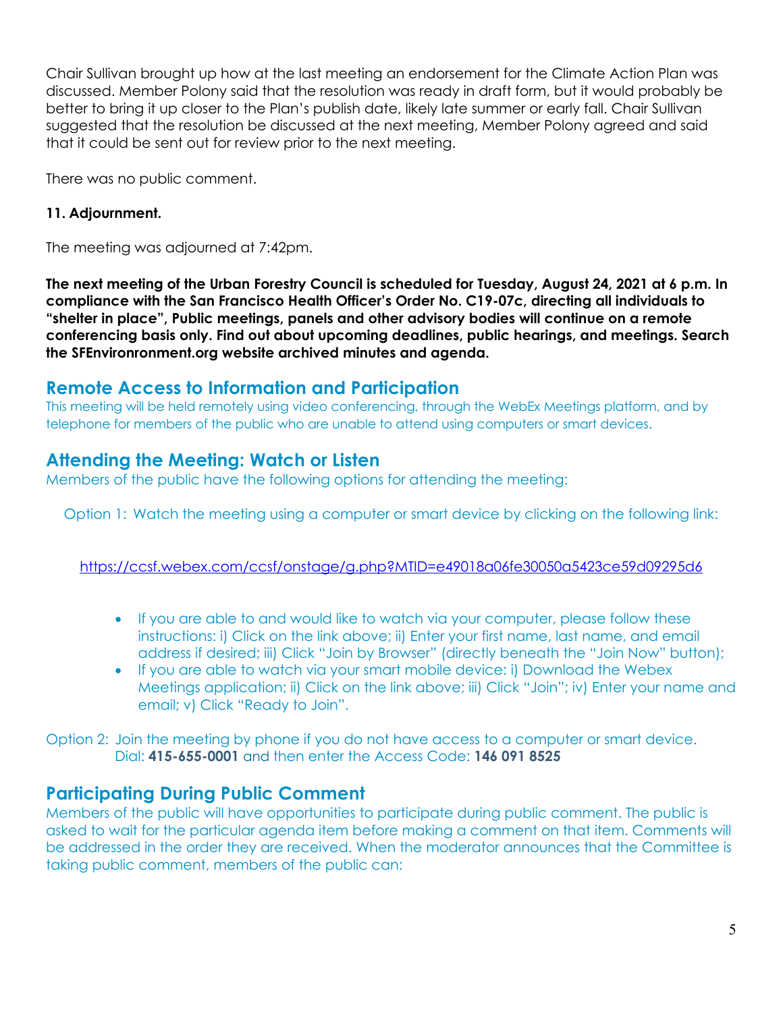Chair Sullivan brought up how at the last meeting an endorsement for the Climate Action Plan was discussed. Member Polony said that the resolution was ready in draft form, but it would probably be better to bring it up closer to the Plan's publish date, likely late summer or early fall. Chair Sullivan suggested that the resolution be discussed at the next meeting, Member Polony agreed and said that it could be sent out for review prior to the next meeting.

There was no public comment.

# **11. Adjournment.**

The meeting was adjourned at 7:42pm.

**The next meeting of the Urban Forestry Council is scheduled for Tuesday, August 24, 2021 at 6 p.m. In compliance with the San Francisco Health Officer's Order No. C19-07c, directing all individuals to "shelter in place", Public meetings, panels and other advisory bodies will continue on a remote conferencing basis only. Find out about upcoming deadlines, public hearings, and meetings. Search the SFEnvironronment.org website archived minutes and agenda.**

# **Remote Access to Information and Participation**

This meeting will be held remotely using video conferencing, through the WebEx Meetings platform, and by telephone for members of the public who are unable to attend using computers or smart devices.

# **Attending the Meeting: Watch or Listen**

Members of the public have the following options for attending the meeting:

Option 1: Watch the meeting using a computer or smart device by clicking on the following link:

https://ccsf.webex.com/ccsf/onstage/g.php?MTID=e49018a06fe30050a5423ce59d09295d6

- If you are able to and would like to watch via your computer, please follow these instructions: i) Click on the link above; ii) Enter your first name, last name, and email address if desired; iii) Click "Join by Browser" (directly beneath the "Join Now" button);
- If you are able to watch via your smart mobile device: i) Download the Webex Meetings application; ii) Click on the link above; iii) Click "Join"; iv) Enter your name and email; v) Click "Ready to Join".

Option 2: Join the meeting by phone if you do not have access to a computer or smart device. Dial: **415-655-0001** and then enter the Access Code: **146 091 8525**

# **Participating During Public Comment**

Members of the public will have opportunities to participate during public comment. The public is asked to wait for the particular agenda item before making a comment on that item. Comments will be addressed in the order they are received. When the moderator announces that the Committee is taking public comment, members of the public can: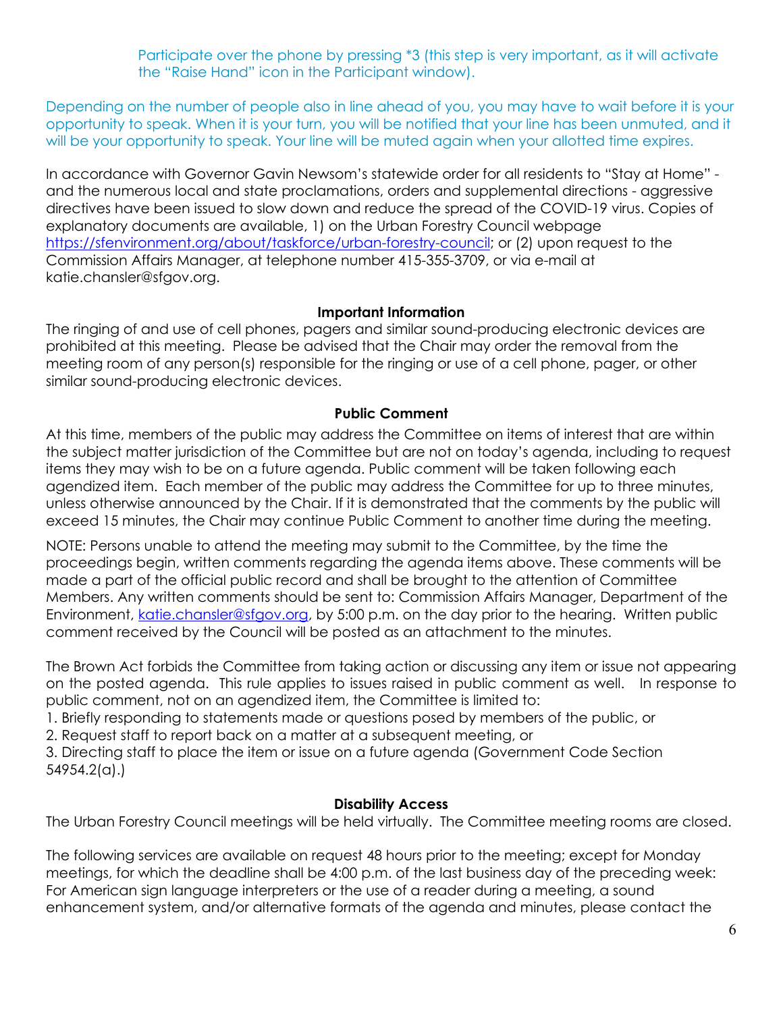Participate over the phone by pressing \*3 (this step is very important, as it will activate the "Raise Hand" icon in the Participant window).

Depending on the number of people also in line ahead of you, you may have to wait before it is your opportunity to speak. When it is your turn, you will be notified that your line has been unmuted, and it will be your opportunity to speak. Your line will be muted again when your allotted time expires.

In accordance with Governor Gavin Newsom's statewide order for all residents to "Stay at Home" and the numerous local and state proclamations, orders and supplemental directions - aggressive directives have been issued to slow down and reduce the spread of the COVID-19 virus. Copies of explanatory documents are available, 1) on the Urban Forestry Council webpage https://sfenvironment.org/about/taskforce/urban-forestry-council; or (2) upon request to the Commission Affairs Manager, at telephone number 415-355-3709, or via e-mail at katie.chansler@sfgov.org.

## **Important Information**

The ringing of and use of cell phones, pagers and similar sound-producing electronic devices are prohibited at this meeting. Please be advised that the Chair may order the removal from the meeting room of any person(s) responsible for the ringing or use of a cell phone, pager, or other similar sound-producing electronic devices.

## **Public Comment**

At this time, members of the public may address the Committee on items of interest that are within the subject matter jurisdiction of the Committee but are not on today's agenda, including to request items they may wish to be on a future agenda. Public comment will be taken following each agendized item. Each member of the public may address the Committee for up to three minutes, unless otherwise announced by the Chair. If it is demonstrated that the comments by the public will exceed 15 minutes, the Chair may continue Public Comment to another time during the meeting.

NOTE: Persons unable to attend the meeting may submit to the Committee, by the time the proceedings begin, written comments regarding the agenda items above. These comments will be made a part of the official public record and shall be brought to the attention of Committee Members. Any written comments should be sent to: Commission Affairs Manager, Department of the Environment, katie.chansler@sfgov.org, by 5:00 p.m. on the day prior to the hearing. Written public comment received by the Council will be posted as an attachment to the minutes.

The Brown Act forbids the Committee from taking action or discussing any item or issue not appearing on the posted agenda. This rule applies to issues raised in public comment as well. In response to public comment, not on an agendized item, the Committee is limited to:

1. Briefly responding to statements made or questions posed by members of the public, or

2. Request staff to report back on a matter at a subsequent meeting, or

3. Directing staff to place the item or issue on a future agenda (Government Code Section 54954.2(a).)

### **Disability Access**

The Urban Forestry Council meetings will be held virtually. The Committee meeting rooms are closed.

The following services are available on request 48 hours prior to the meeting; except for Monday meetings, for which the deadline shall be 4:00 p.m. of the last business day of the preceding week: For American sign language interpreters or the use of a reader during a meeting, a sound enhancement system, and/or alternative formats of the agenda and minutes, please contact the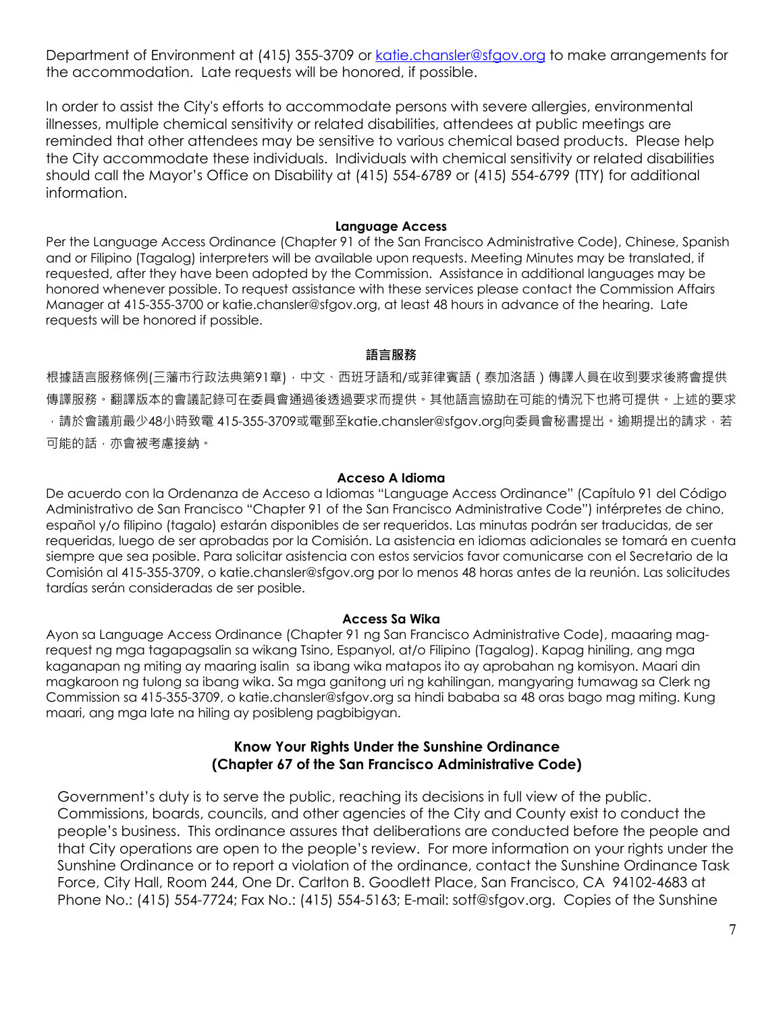Department of Environment at (415) 355-3709 or katie.chansler@sfgov.org to make arrangements for the accommodation. Late requests will be honored, if possible.

In order to assist the City's efforts to accommodate persons with severe allergies, environmental illnesses, multiple chemical sensitivity or related disabilities, attendees at public meetings are reminded that other attendees may be sensitive to various chemical based products. Please help the City accommodate these individuals. Individuals with chemical sensitivity or related disabilities should call the Mayor's Office on Disability at (415) 554-6789 or (415) 554-6799 (TTY) for additional information.

#### **Language Access**

Per the Language Access Ordinance (Chapter 91 of the San Francisco Administrative Code), Chinese, Spanish and or Filipino (Tagalog) interpreters will be available upon requests. Meeting Minutes may be translated, if requested, after they have been adopted by the Commission. Assistance in additional languages may be honored whenever possible. To request assistance with these services please contact the Commission Affairs Manager at 415-355-3700 or katie.chansler@sfgov.org, at least 48 hours in advance of the hearing. Late requests will be honored if possible.

#### **語言服務**

根據語言服務條例(三藩市行政法典第91章),中文、西班牙語和/或菲律賓語(泰加洛語)傳譯人員在收到要求後將會提供 傳譯服務。翻譯版本的會議記錄可在委員會通過後透過要求而提供。其他語言協助在可能的情況下也將可提供。上述的要求 ,請於會議前最少48小時致電 415-355-3709或電郵至katie.chansler@sfgov.org向委員會秘書提出。逾期提出的請求,若 可能的話,亦會被考慮接納。

#### **Acceso A Idioma**

De acuerdo con la Ordenanza de Acceso a Idiomas "Language Access Ordinance" (Capítulo 91 del Código Administrativo de San Francisco "Chapter 91 of the San Francisco Administrative Code") intérpretes de chino, español y/o filipino (tagalo) estarán disponibles de ser requeridos. Las minutas podrán ser traducidas, de ser requeridas, luego de ser aprobadas por la Comisión. La asistencia en idiomas adicionales se tomará en cuenta siempre que sea posible. Para solicitar asistencia con estos servicios favor comunicarse con el Secretario de la Comisión al 415-355-3709, o katie.chansler@sfgov.org por lo menos 48 horas antes de la reunión. Las solicitudes tardías serán consideradas de ser posible.

#### **Access Sa Wika**

Ayon sa Language Access Ordinance (Chapter 91 ng San Francisco Administrative Code), maaaring magrequest ng mga tagapagsalin sa wikang Tsino, Espanyol, at/o Filipino (Tagalog). Kapag hiniling, ang mga kaganapan ng miting ay maaring isalin sa ibang wika matapos ito ay aprobahan ng komisyon. Maari din magkaroon ng tulong sa ibang wika. Sa mga ganitong uri ng kahilingan, mangyaring tumawag sa Clerk ng Commission sa 415-355-3709, o katie.chansler@sfgov.org sa hindi bababa sa 48 oras bago mag miting. Kung maari, ang mga late na hiling ay posibleng pagbibigyan.

## **Know Your Rights Under the Sunshine Ordinance (Chapter 67 of the San Francisco Administrative Code)**

Government's duty is to serve the public, reaching its decisions in full view of the public. Commissions, boards, councils, and other agencies of the City and County exist to conduct the people's business. This ordinance assures that deliberations are conducted before the people and that City operations are open to the people's review. For more information on your rights under the Sunshine Ordinance or to report a violation of the ordinance, contact the Sunshine Ordinance Task Force, City Hall, Room 244, One Dr. Carlton B. Goodlett Place, San Francisco, CA 94102-4683 at Phone No.: (415) 554-7724; Fax No.: (415) 554-5163; E-mail: sotf@sfgov.org. Copies of the Sunshine